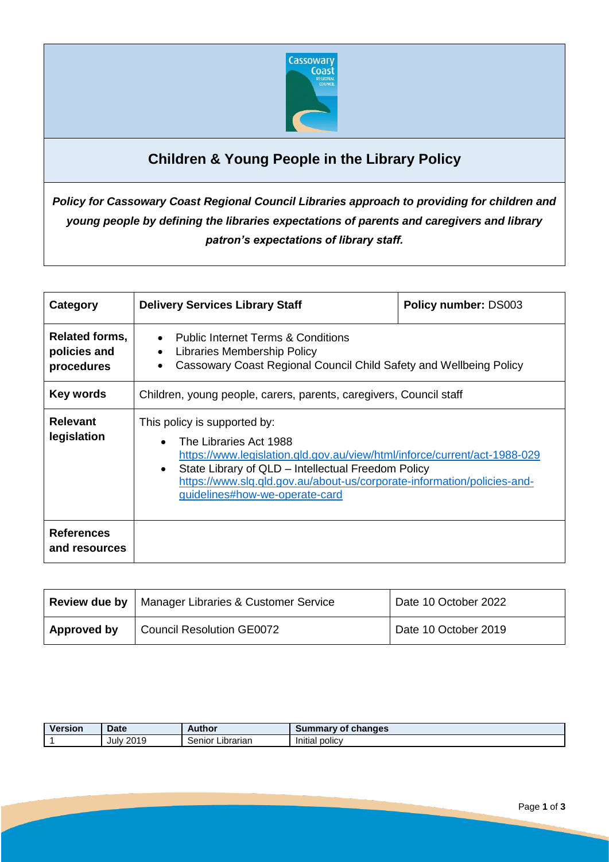

# **Children & Young People in the Library Policy**

*Policy for Cassowary Coast Regional Council Libraries approach to providing for children and young people by defining the libraries expectations of parents and caregivers and library patron's expectations of library staff.*

| Category                                     | <b>Delivery Services Library Staff</b>                                                                                                                                                                                                                                                                 | <b>Policy number: DS003</b> |  |
|----------------------------------------------|--------------------------------------------------------------------------------------------------------------------------------------------------------------------------------------------------------------------------------------------------------------------------------------------------------|-----------------------------|--|
| Related forms,<br>policies and<br>procedures | <b>Public Internet Terms &amp; Conditions</b><br>$\bullet$<br>Libraries Membership Policy<br>$\bullet$<br>Cassowary Coast Regional Council Child Safety and Wellbeing Policy                                                                                                                           |                             |  |
| Key words                                    | Children, young people, carers, parents, caregivers, Council staff                                                                                                                                                                                                                                     |                             |  |
| <b>Relevant</b><br>legislation               | This policy is supported by:<br>The Libraries Act 1988<br>https://www.legislation.qld.gov.au/view/html/inforce/current/act-1988-029<br>State Library of QLD – Intellectual Freedom Policy<br>https://www.slq.qld.gov.au/about-us/corporate-information/policies-and-<br>guidelines#how-we-operate-card |                             |  |
| <b>References</b><br>and resources           |                                                                                                                                                                                                                                                                                                        |                             |  |

|                    | <b>Review due by   Manager Libraries &amp; Customer Service</b> | Date 10 October 2022 |
|--------------------|-----------------------------------------------------------------|----------------------|
| <b>Approved by</b> | <b>Council Resolution GE0072</b>                                | Date 10 October 2019 |

| <b>Version</b> | <b>Date</b>      | Author                         | Summary<br>changes<br>0t |
|----------------|------------------|--------------------------------|--------------------------|
|                | <b>July 2019</b> | <br>-<br>Librarian<br>' eniorد | .<br>policy<br>Initial   |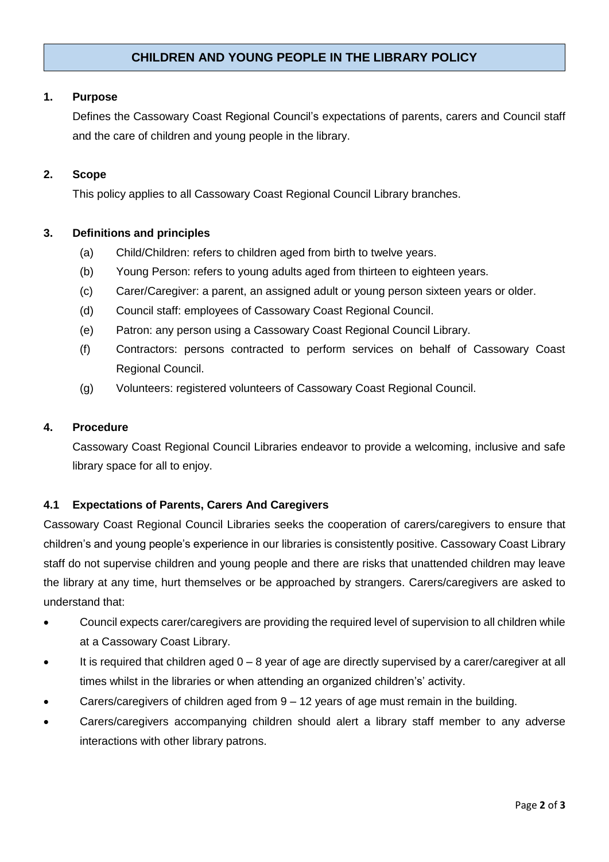## **CHILDREN AND YOUNG PEOPLE IN THE LIBRARY POLICY**

#### **1. Purpose**

Defines the Cassowary Coast Regional Council's expectations of parents, carers and Council staff and the care of children and young people in the library.

#### **2. Scope**

This policy applies to all Cassowary Coast Regional Council Library branches.

#### **3. Definitions and principles**

- (a) Child/Children: refers to children aged from birth to twelve years.
- (b) Young Person: refers to young adults aged from thirteen to eighteen years.
- (c) Carer/Caregiver: a parent, an assigned adult or young person sixteen years or older.
- (d) Council staff: employees of Cassowary Coast Regional Council.
- (e) Patron: any person using a Cassowary Coast Regional Council Library.
- (f) Contractors: persons contracted to perform services on behalf of Cassowary Coast Regional Council.
- (g) Volunteers: registered volunteers of Cassowary Coast Regional Council.

#### **4. Procedure**

Cassowary Coast Regional Council Libraries endeavor to provide a welcoming, inclusive and safe library space for all to enjoy.

#### **4.1 Expectations of Parents, Carers And Caregivers**

Cassowary Coast Regional Council Libraries seeks the cooperation of carers/caregivers to ensure that children's and young people's experience in our libraries is consistently positive. Cassowary Coast Library staff do not supervise children and young people and there are risks that unattended children may leave the library at any time, hurt themselves or be approached by strangers. Carers/caregivers are asked to understand that:

- Council expects carer/caregivers are providing the required level of supervision to all children while at a Cassowary Coast Library.
- It is required that children aged 0 8 year of age are directly supervised by a carer/caregiver at all times whilst in the libraries or when attending an organized children's' activity.
- Carers/caregivers of children aged from  $9 12$  years of age must remain in the building.
- Carers/caregivers accompanying children should alert a library staff member to any adverse interactions with other library patrons.